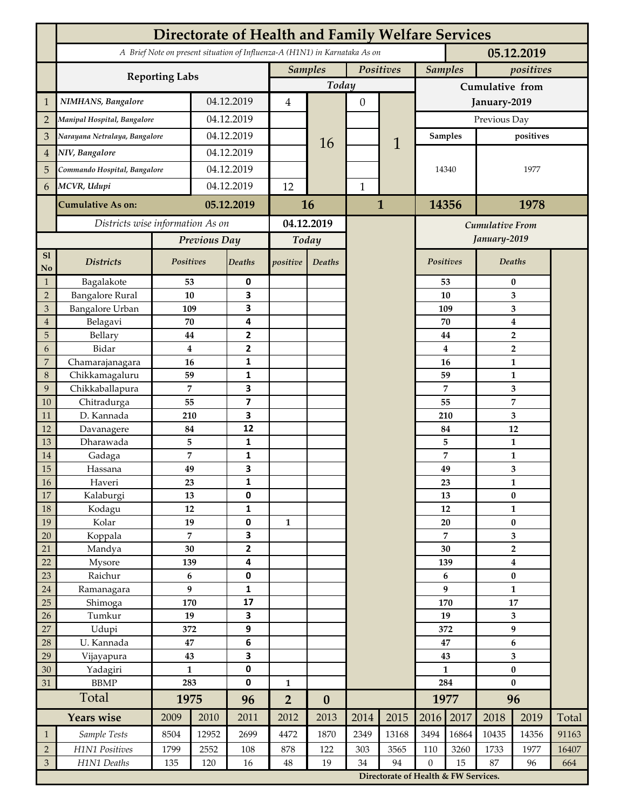|                 | <b>Directorate of Health and Family Welfare Services</b>                                 |                |            |                         |                |                  |              |                        |                |                                                                                   |                           |                  |       |  |
|-----------------|------------------------------------------------------------------------------------------|----------------|------------|-------------------------|----------------|------------------|--------------|------------------------|----------------|-----------------------------------------------------------------------------------|---------------------------|------------------|-------|--|
|                 | A Brief Note on present situation of Influenza-A (H1N1) in Karnataka As on<br>05.12.2019 |                |            |                         |                |                  |              |                        |                |                                                                                   |                           |                  |       |  |
|                 | <b>Reporting Labs</b>                                                                    |                |            |                         | <b>Samples</b> |                  | Positives    |                        | <b>Samples</b> |                                                                                   | positives                 |                  |       |  |
|                 |                                                                                          |                |            |                         | Today          |                  |              |                        |                | Cumulative from                                                                   |                           |                  |       |  |
| $\mathbf{1}$    | NIMHANS, Bangalore                                                                       | 04.12.2019     |            | 4                       |                | 0                |              | January-2019           |                |                                                                                   |                           |                  |       |  |
| $\overline{2}$  | Manipal Hospital, Bangalore                                                              |                |            | 04.12.2019              |                |                  |              |                        | Previous Day   |                                                                                   |                           |                  |       |  |
| 3               | Narayana Netralaya, Bangalore                                                            |                |            | 04.12.2019              |                |                  |              |                        | Samples        |                                                                                   | positives                 |                  |       |  |
| $\overline{4}$  | NIV, Bangalore                                                                           |                | 04.12.2019 |                         |                | 16               |              | 1                      |                |                                                                                   |                           |                  |       |  |
| 5               | Commando Hospital, Bangalore                                                             |                | 04.12.2019 |                         |                |                  |              |                        | 14340          |                                                                                   | 1977                      |                  |       |  |
| 6               | MCVR, Udupi                                                                              |                | 04.12.2019 |                         | 12             |                  | $\mathbf{1}$ |                        |                |                                                                                   |                           |                  |       |  |
|                 |                                                                                          |                |            |                         |                |                  |              |                        |                |                                                                                   |                           |                  |       |  |
|                 | <b>Cumulative As on:</b>                                                                 |                | 05.12.2019 |                         | 16             |                  | $\mathbf{1}$ |                        | 14356          |                                                                                   | 1978                      |                  |       |  |
|                 | Districts wise information As on                                                         |                |            | 04.12.2019              |                |                  |              | <b>Cumulative From</b> |                |                                                                                   |                           |                  |       |  |
|                 |                                                                                          | Previous Day   |            | Today                   |                |                  |              |                        |                | January-2019                                                                      |                           |                  |       |  |
| S1<br>No        | <b>Districts</b>                                                                         | Positives      |            | <b>Deaths</b>           | positive       | Deaths           |              |                        | Positives      |                                                                                   |                           | Deaths           |       |  |
| $\mathbf{1}$    | Bagalakote                                                                               | 53             |            | 0                       |                |                  |              |                        |                | 53                                                                                | $\bf{0}$                  |                  |       |  |
| $\overline{2}$  | <b>Bangalore Rural</b>                                                                   | 10             |            | 3                       |                |                  |              |                        |                | 10                                                                                | 3                         |                  |       |  |
| 3               | Bangalore Urban                                                                          | 109            |            | 3                       |                |                  |              |                        | 109            |                                                                                   | 3                         |                  |       |  |
| $\overline{4}$  | Belagavi                                                                                 | 70             |            | 4                       |                |                  |              |                        |                | 70                                                                                |                           | $\boldsymbol{4}$ |       |  |
| 5<br>6          | Bellary<br>Bidar                                                                         | 44<br>$\bf{4}$ |            | 2<br>$\mathbf{2}$       |                |                  |              |                        |                | 44<br>4                                                                           |                           | $\overline{2}$   |       |  |
| 7               | Chamarajanagara                                                                          | 16             |            | 1                       |                |                  |              |                        |                | 16                                                                                | $\overline{2}$<br>1       |                  |       |  |
| 8               | Chikkamagaluru                                                                           | 59             |            | 1                       |                |                  |              |                        |                | 59                                                                                |                           | 1                |       |  |
| 9               | Chikkaballapura                                                                          | 7              |            | 3                       |                |                  |              |                        |                | 7                                                                                 |                           | 3                |       |  |
| 10              | Chitradurga                                                                              | 55             |            | $\overline{\mathbf{z}}$ |                |                  |              |                        |                | 55                                                                                |                           | 7                |       |  |
| 11              | D. Kannada                                                                               | 210            |            | 3                       |                |                  |              |                        |                | 210                                                                               |                           | 3                |       |  |
| 12              | Davanagere                                                                               | 84             |            | 12                      |                |                  |              |                        |                | 84                                                                                |                           | 12               |       |  |
| 13              | Dharawada                                                                                | 5              |            | $\mathbf{1}$            |                |                  |              |                        |                | 5                                                                                 |                           | $\mathbf{1}$     |       |  |
| 14              | Gadaga                                                                                   | 7              |            | 1<br>3                  |                |                  |              |                        |                | 7                                                                                 |                           | 1                |       |  |
| 15<br><b>16</b> | Hassana<br>Haveri                                                                        | 49<br>23       |            | 1                       |                |                  |              |                        |                | 49<br>23                                                                          |                           | 3<br>1           |       |  |
| 17              | Kalaburgi                                                                                | 13             |            | 0                       |                |                  |              |                        |                | 13                                                                                |                           | $\pmb{0}$        |       |  |
| 18              | Kodagu                                                                                   | 12             |            | $\mathbf{1}$            |                |                  |              |                        |                | 12                                                                                |                           | $\mathbf{1}$     |       |  |
| 19              | Kolar                                                                                    | 19             |            | 0                       | $\mathbf{1}$   |                  |              |                        |                | 20                                                                                |                           | $\pmb{0}$        |       |  |
| 20              | Koppala                                                                                  | $\overline{7}$ |            | 3                       |                |                  |              |                        |                | 7                                                                                 | 3                         |                  |       |  |
| 21              | Mandya                                                                                   | $30\,$         |            | $\mathbf{2}$            |                |                  |              |                        | 30             |                                                                                   | $\mathbf 2$               |                  |       |  |
| 22              | Mysore                                                                                   | 139            |            | 4                       |                |                  |              |                        | 139            |                                                                                   | $\boldsymbol{4}$          |                  |       |  |
| 23<br>$24\,$    | Raichur<br>Ramanagara                                                                    | $\bf 6$<br>9   |            | $\pmb{0}$<br>1          |                |                  |              |                        | 6<br>9         |                                                                                   | $\pmb{0}$<br>$\mathbf{1}$ |                  |       |  |
| 25              | Shimoga                                                                                  | 170            |            | 17                      |                |                  |              |                        | 170            |                                                                                   | 17                        |                  |       |  |
| 26              | Tumkur                                                                                   | 19             |            | 3                       |                |                  |              |                        |                | 19                                                                                |                           | 3                |       |  |
| 27              | Udupi                                                                                    | 372            |            | 9                       |                |                  |              |                        | 372            |                                                                                   | 9                         |                  |       |  |
| 28              | U. Kannada                                                                               | $\bf 47$       |            | $\bf 6$                 |                |                  |              |                        | 47             |                                                                                   | $\bf 6$                   |                  |       |  |
| 29              | Vijayapura                                                                               | 43             |            | 3                       |                |                  |              |                        |                | 43                                                                                |                           | 3                |       |  |
| 30              | Yadagiri                                                                                 | $\mathbf{1}$   |            | 0                       |                |                  |              |                        | $\mathbf{1}$   |                                                                                   | $\pmb{0}$                 |                  |       |  |
| 31              | <b>BBMP</b>                                                                              | 283            |            | 0                       | $\mathbf{1}$   |                  |              |                        | 284            |                                                                                   | $\bf{0}$                  |                  |       |  |
|                 | Total                                                                                    | 1975           |            | 96                      | $\overline{2}$ | $\boldsymbol{0}$ |              |                        | 1977           |                                                                                   | 96                        |                  |       |  |
|                 | <b>Years wise</b>                                                                        | 2009           | 2010       | 2011                    | 2012           | 2013             | 2014         | 2015                   | 2016           | 2017                                                                              | 2018                      | 2019             | Total |  |
| $\mathbf{1}$    | Sample Tests                                                                             | 8504           | 12952      | 2699                    | 4472           | 1870             | 2349         | 13168                  | 3494           | 16864                                                                             | 10435                     | 14356            | 91163 |  |
| $\overline{2}$  | H1N1 Positives                                                                           | 1799           | 2552       | 108                     | 878            | 122              | 303          | 3565                   | 110            | 3260                                                                              | 1733                      | 1977             | 16407 |  |
| $\mathfrak{Z}$  | H1N1 Deaths<br>135<br>120<br>16                                                          |                |            |                         | $48\,$         | 19               | 34           | 94                     |                | $\boldsymbol{0}$<br>15<br>87<br>96<br>664<br>Directorate of Health & FW Services. |                           |                  |       |  |
|                 |                                                                                          |                |            |                         |                |                  |              |                        |                |                                                                                   |                           |                  |       |  |